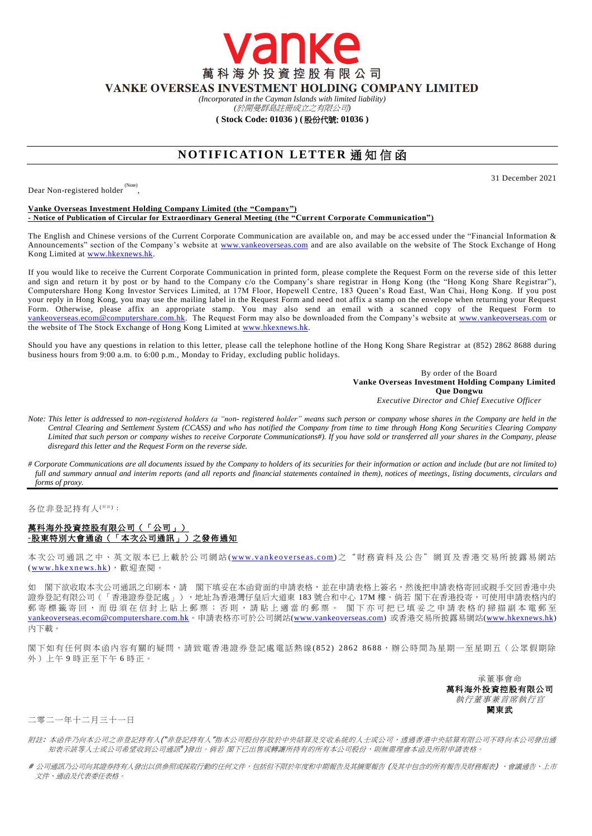萬科海外投資控股有限公司 VANKE OVERSEAS INVESTMENT HOLDING COMPANY LIMITED

anke

*(Incorporated in the Cayman Islands with limited liability)* 

*(*於開曼群島註冊成立之有限公司*)*

**( Stock Code: 01036 ) (** 股份代號: **01036 )**

## **NOTIFICATION LETTER 通知信函**

Dear Non-registered holder<sup>(Note)</sup>,

31 December 2021

## **Vanke Overseas Investment Holding Company Limited (the "Company") - Notice of Publication of Circular for Extraordinary General Meeting (the "Current Corporate Communication")**

The English and Chinese versions of the Current Corporate Communication are available on, and may be acc essed under the "Financial Information & Announcements" section of the Company's website at [www.vankeoverseas.com](http://www.vankeoverseas.com/) and are also available on the website of The Stock Exchange of Hong Kong Limited at [www.hkexnews.hk.](http://www.hkexnews.hk/)

If you would like to receive the Current Corporate Communication in printed form, please complete the Request Form on the reverse side of this letter and sign and return it by post or by hand to the Company c/o the Company's share registrar in Hong Kong (the "Hong Kong Share Registrar"), Computershare Hong Kong Investor Services Limited, at 17M Floor, Hopewell Centre, 183 Queen's Road East, Wan Chai, Hong Kong. If you post your reply in Hong Kong, you may use the mailing label in the Request Form and need not affix a stamp on the envelope when returning your Request Form. Otherwise, please affix an appropriate stamp. You may also send an email with a scanned copy of the Request Form to [vankeoverseas.ecom@computershare.com.hk.](mailto:vankeoverseas.ecom@computershare.com.hk) The Request Form may also be downloaded from the Company's website at [www.vankeoverseas.com](http://www.vankeoverseas.com/) or the website of The Stock Exchange of Hong Kong Limited at <u>www.hkexnews.hk</u>.

Should you have any questions in relation to this letter, please call the telephone hotline of the Hong Kong Share Registrar at (852) 2862 8688 during business hours from 9:00 a.m. to 6:00 p.m., Monday to Friday, excluding public holidays.

> By order of the Board **Vanke Overseas Investment Holding Company Limited Que Dongwu** *Executive Director and Chief Executive Officer*

- *Note: This letter is addressed to non-registered holders (a "non- registered holder" means such person or company whose shares in the Company are held in the Central Clearing and Settlement System (CCASS) and who has notified the Company from time to time through Hong Kong Securities Clearing Company Limited that such person or company wishes to receive Corporate Communications#). If you have sold or transferred all your shares in the Company, please disregard this letter and the Request Form on the reverse side.*
- *# Corporate Communications are all documents issued by the Company to holders of its securities for their information or action and include (but are not limited to)*  full and summary annual and interim reports (and all reports and financial statements contained in them), notices of meetings, listing documents, circulars and *forms of proxy.*

各位非登記持有人<sup>( #注)</sup>:

## 萬科海外投資控股有限公司(「公司」) **-**股東特別大會通函(「本次公司通訊」)之發佈通知

本次公司通訊之中、英文版本已上載於公司網站 (www.vankeoverseas.com) 之 "財 務 資 料 及公告"網頁及香港交易所披露易網站 (www.hkexnews.hk),歡迎查閱。

如 閣下欲收取本次公司通訊之印刷本,請 閣下填妥在本函背面的申請表格,並在申請表格上簽名,然後把申請表格寄回或親手交回香港中央 證券登記有限公司(「香港證券登記處」),地址為香港灣仔皇后大道東 183 號合和中心 17M 樓。倘若 閣下在香港投寄,可使用申請表格內的 郵 寄 標 籤 寄 回 , 而 毋 須 在 信 封 上 貼 上 郵 票 ; 否 則 , 請 貼 上 適 當 的 郵 票 。 閣 下 亦 可 把 已 填 妥 之 申 請 表 格 的 掃 描 副 本 電 郵 至 [vankeoverseas.ecom@computershare.com.hk](mailto:vankeoverseas.ecom@computershare.com.hk)。申請表格亦可於公司網站[\(www.vankeoverseas.com\)](http://www.vankeoverseas.com/) 或香港交易所披露易網站[\(www.hkexnews.hk\)](http://www.hkexnews.hk/) 內下載。

閣下如有任何與本函內容有關的疑問,請致電香港證券登記處電話熱線(852) 2862 8688,辦公時間為星期一至星期五(公眾假期除 外)上午 9 時正至下午 6 時正。

> 承董事會命 萬科海外投資控股有限公司 執行董事兼首席執行官 闕東武

二零二一年十二月三十一日

- 附註: 本函件乃向本公司之非登記持有人("非登記持有人"指本公司股份存放於中央結算及交收系統的人士或公司,透過香港中央結算有限公司不時向本公司發出通 知表示該等人士或公司希望收到公司通訊 )發出。倘若 閣下已出售或轉讓所持有的所有本公司股份,則無需理會本函及所附申請表格。
- # 公司通訊乃公司向其證券持有人發出以供參照或採取行動的任何文件,包括但不限於年度和中期報告及其摘要報告 (及其中包含的所有報告及財務報表) 、會議通告、上市 文件、通函及代表委任表格。